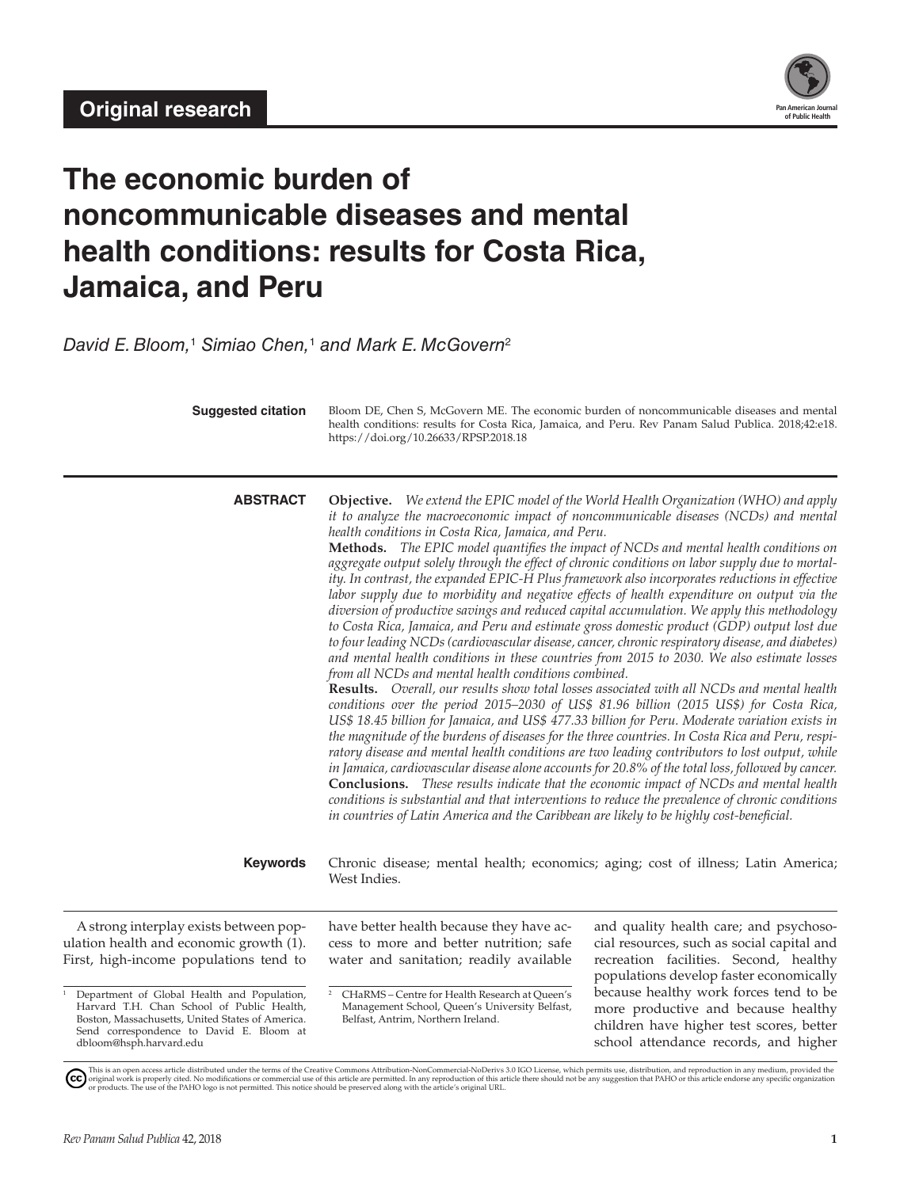

# **The economic burden of noncommunicable diseases and mental health conditions: results for Costa Rica, Jamaica, and Peru**

*David E. Bloom,*<sup>1</sup>  *Simiao Chen,*<sup>1</sup>  *and Mark E. McGovern*<sup>2</sup>

**Suggested citation** Bloom DE, Chen S, McGovern ME. The economic burden of noncommunicable diseases and mental health conditions: results for Costa Rica, Jamaica, and Peru. Rev Panam Salud Publica. 2018;42:e18. https://doi.org/10.26633/RPSP.2018.18

A strong interplay exists between population health and economic growth (1). First, high-income populations tend to have better health because they have access to more and better nutrition; safe water and sanitation; readily available **ABSTRACT Objective.** *We extend the EPIC model of the World Health Organization (WHO) and apply it to analyze the macroeconomic impact of noncommunicable diseases (NCDs) and mental health conditions in Costa Rica, Jamaica, and Peru.* **Methods.** *The EPIC model quantifies the impact of NCDs and mental health conditions on aggregate output solely through the effect of chronic conditions on labor supply due to mortality. In contrast, the expanded EPIC-H Plus framework also incorporates reductions in effective*  labor supply due to morbidity and negative effects of health expenditure on output via the *diversion of productive savings and reduced capital accumulation. We apply this methodology to Costa Rica, Jamaica, and Peru and estimate gross domestic product (GDP) output lost due to four leading NCDs (cardiovascular disease, cancer, chronic respiratory disease, and diabetes) and mental health conditions in these countries from 2015 to 2030. We also estimate losses from all NCDs and mental health conditions combined.* **Results.** *Overall, our results show total losses associated with all NCDs and mental health conditions over the period 2015–2030 of US\$ 81.96 billion (2015 US\$) for Costa Rica, US\$ 18.45 billion for Jamaica, and US\$ 477.33 billion for Peru. Moderate variation exists in the magnitude of the burdens of diseases for the three countries. In Costa Rica and Peru, respiratory disease and mental health conditions are two leading contributors to lost output, while in Jamaica, cardiovascular disease alone accounts for 20.8% of the total loss, followed by cancer.* **Conclusions.** *These results indicate that the economic impact of NCDs and mental health conditions is substantial and that interventions to reduce the prevalence of chronic conditions in countries of Latin America and the Caribbean are likely to be highly cost-beneficial.* **Keywords** Chronic disease; mental health; economics; aging; cost of illness; Latin America; West Indies. and quality health care; and psychosocial resources, such as social capital and recreation facilities. Second, healthy

> <sup>2</sup> CHaRMS – Centre for Health Research at Queen's Management School, Queen's University Belfast, Belfast, Antrim, Northern Ireland.

populations develop faster economically because healthy work forces tend to be more productive and because healthy children have higher test scores, better school attendance records, and higher

(cc)

This is an open access article distributed under the terms of the [Creative Commons Attribution-NonCommercial-NoDerivs 3.0 IGO License,](https://creativecommons.org/licenses/by-nc-nd/3.0/igo/legalcode) which permits use, distribution, and reproduction in any medium, provided the<br>orignal w

dbloom@hsph.harvard.edu

<sup>1</sup> Department of Global Health and Population, Harvard T.H. Chan School of Public Health, Boston, Massachusetts, United States of America. Send correspondence to David E. Bloom at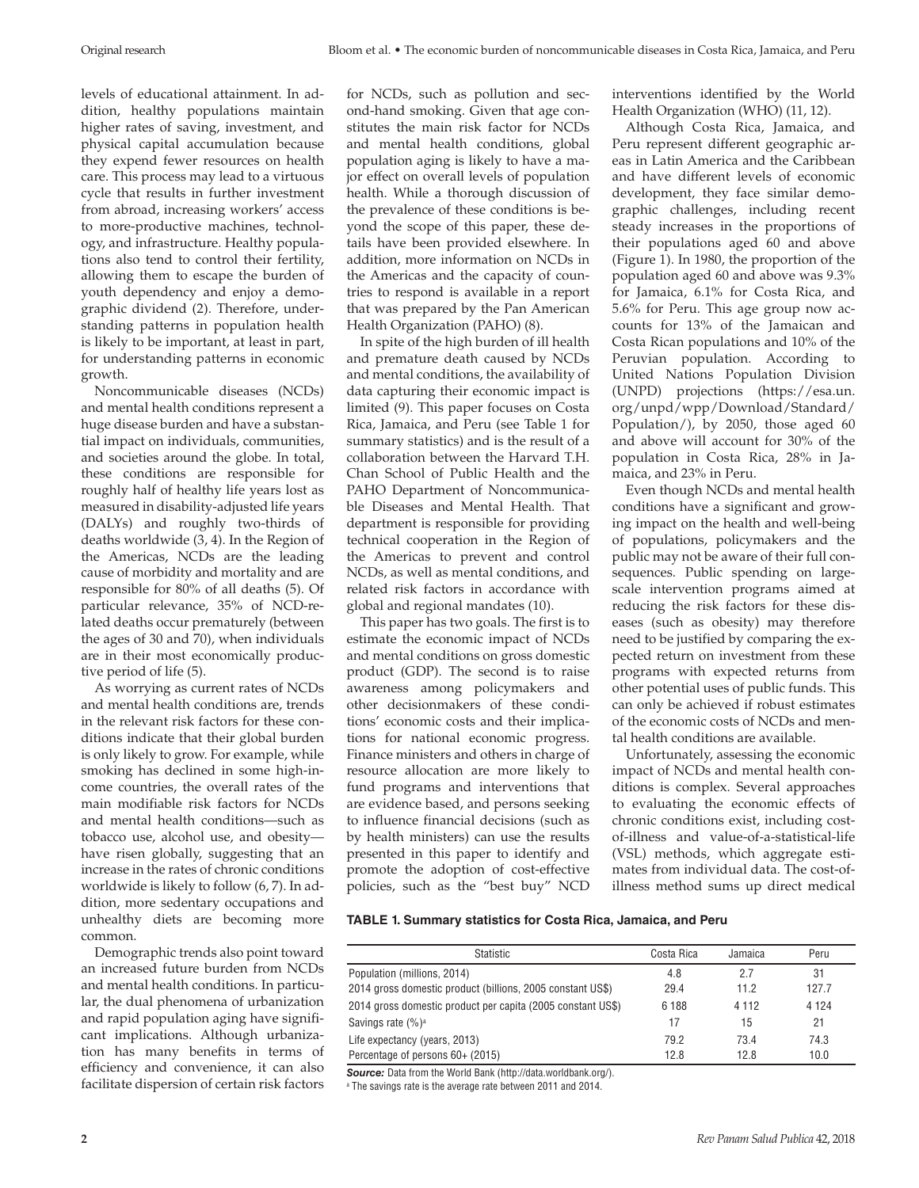levels of educational attainment. In addition, healthy populations maintain higher rates of saving, investment, and physical capital accumulation because they expend fewer resources on health care. This process may lead to a virtuous cycle that results in further investment from abroad, increasing workers' access to more-productive machines, technology, and infrastructure. Healthy populations also tend to control their fertility, allowing them to escape the burden of youth dependency and enjoy a demographic dividend (2). Therefore, understanding patterns in population health is likely to be important, at least in part, for understanding patterns in economic growth.

Noncommunicable diseases (NCDs) and mental health conditions represent a huge disease burden and have a substantial impact on individuals, communities, and societies around the globe. In total, these conditions are responsible for roughly half of healthy life years lost as measured in disability-adjusted life years (DALYs) and roughly two-thirds of deaths worldwide (3, 4). In the Region of the Americas, NCDs are the leading cause of morbidity and mortality and are responsible for 80% of all deaths (5). Of particular relevance, 35% of NCD-related deaths occur prematurely (between the ages of 30 and 70), when individuals are in their most economically productive period of life (5).

As worrying as current rates of NCDs and mental health conditions are, trends in the relevant risk factors for these conditions indicate that their global burden is only likely to grow. For example, while smoking has declined in some high-income countries, the overall rates of the main modifiable risk factors for NCDs and mental health conditions—such as tobacco use, alcohol use, and obesity have risen globally, suggesting that an increase in the rates of chronic conditions worldwide is likely to follow (6, 7). In addition, more sedentary occupations and unhealthy diets are becoming more common.

Demographic trends also point toward an increased future burden from NCDs and mental health conditions. In particular, the dual phenomena of urbanization and rapid population aging have significant implications. Although urbanization has many benefits in terms of efficiency and convenience, it can also facilitate dispersion of certain risk factors

for NCDs, such as pollution and second-hand smoking. Given that age constitutes the main risk factor for NCDs and mental health conditions, global population aging is likely to have a major effect on overall levels of population health. While a thorough discussion of the prevalence of these conditions is beyond the scope of this paper, these details have been provided elsewhere. In addition, more information on NCDs in the Americas and the capacity of countries to respond is available in a report that was prepared by the Pan American Health Organization (PAHO) (8).

In spite of the high burden of ill health and premature death caused by NCDs and mental conditions, the availability of data capturing their economic impact is limited (9). This paper focuses on Costa Rica, Jamaica, and Peru (see Table 1 for summary statistics) and is the result of a collaboration between the Harvard T.H. Chan School of Public Health and the PAHO Department of Noncommunicable Diseases and Mental Health. That department is responsible for providing technical cooperation in the Region of the Americas to prevent and control NCDs, as well as mental conditions, and related risk factors in accordance with global and regional mandates (10).

This paper has two goals. The first is to estimate the economic impact of NCDs and mental conditions on gross domestic product (GDP). The second is to raise awareness among policymakers and other decisionmakers of these conditions' economic costs and their implications for national economic progress. Finance ministers and others in charge of resource allocation are more likely to fund programs and interventions that are evidence based, and persons seeking to influence financial decisions (such as by health ministers) can use the results presented in this paper to identify and promote the adoption of cost-effective policies, such as the "best buy" NCD

interventions identified by the World Health Organization (WHO) (11, 12).

Although Costa Rica, Jamaica, and Peru represent different geographic areas in Latin America and the Caribbean and have different levels of economic development, they face similar demographic challenges, including recent steady increases in the proportions of their populations aged 60 and above (Figure 1). In 1980, the proportion of the population aged 60 and above was 9.3% for Jamaica, 6.1% for Costa Rica, and 5.6% for Peru. This age group now accounts for 13% of the Jamaican and Costa Rican populations and 10% of the Peruvian population. According to United Nations Population Division (UNPD) projections [\(https://esa.un.](https://esa.un.org/unpd/wpp/Download/Standard/Population/) [org/unpd/wpp/Download/Standard/](https://esa.un.org/unpd/wpp/Download/Standard/Population/) [Population/\)](https://esa.un.org/unpd/wpp/Download/Standard/Population/), by 2050, those aged 60 and above will account for 30% of the population in Costa Rica, 28% in Jamaica, and 23% in Peru.

Even though NCDs and mental health conditions have a significant and growing impact on the health and well-being of populations, policymakers and the public may not be aware of their full consequences. Public spending on largescale intervention programs aimed at reducing the risk factors for these diseases (such as obesity) may therefore need to be justified by comparing the expected return on investment from these programs with expected returns from other potential uses of public funds. This can only be achieved if robust estimates of the economic costs of NCDs and mental health conditions are available.

Unfortunately, assessing the economic impact of NCDs and mental health conditions is complex. Several approaches to evaluating the economic effects of chronic conditions exist, including costof-illness and value-of-a-statistical-life (VSL) methods, which aggregate estimates from individual data. The cost-ofillness method sums up direct medical

# **TABLE 1. Summary statistics for Costa Rica, Jamaica, and Peru**

| <b>Statistic</b>                                            | Costa Rica | Jamaica | Peru    |
|-------------------------------------------------------------|------------|---------|---------|
| Population (millions, 2014)                                 | 4.8        | 27      | 31      |
| 2014 gross domestic product (billions, 2005 constant US\$)  | 29.4       | 11.2    | 127.7   |
| 2014 gross domestic product per capita (2005 constant US\$) | 6 1 8 8    | 4 1 1 2 | 4 1 2 4 |
| Savings rate $(\%)^a$                                       | 17         | 15      | 21      |
| Life expectancy (years, 2013)                               | 79.2       | 734     | 74.3    |
| Percentage of persons 60+ (2015)                            | 12.8       | 12.8    | 10.0    |

*Source:* Data from the World Bank ([http://data.worldbank.org/\)](http://data.worldbank.org/).

a The savings rate is the average rate between 2011 and 2014.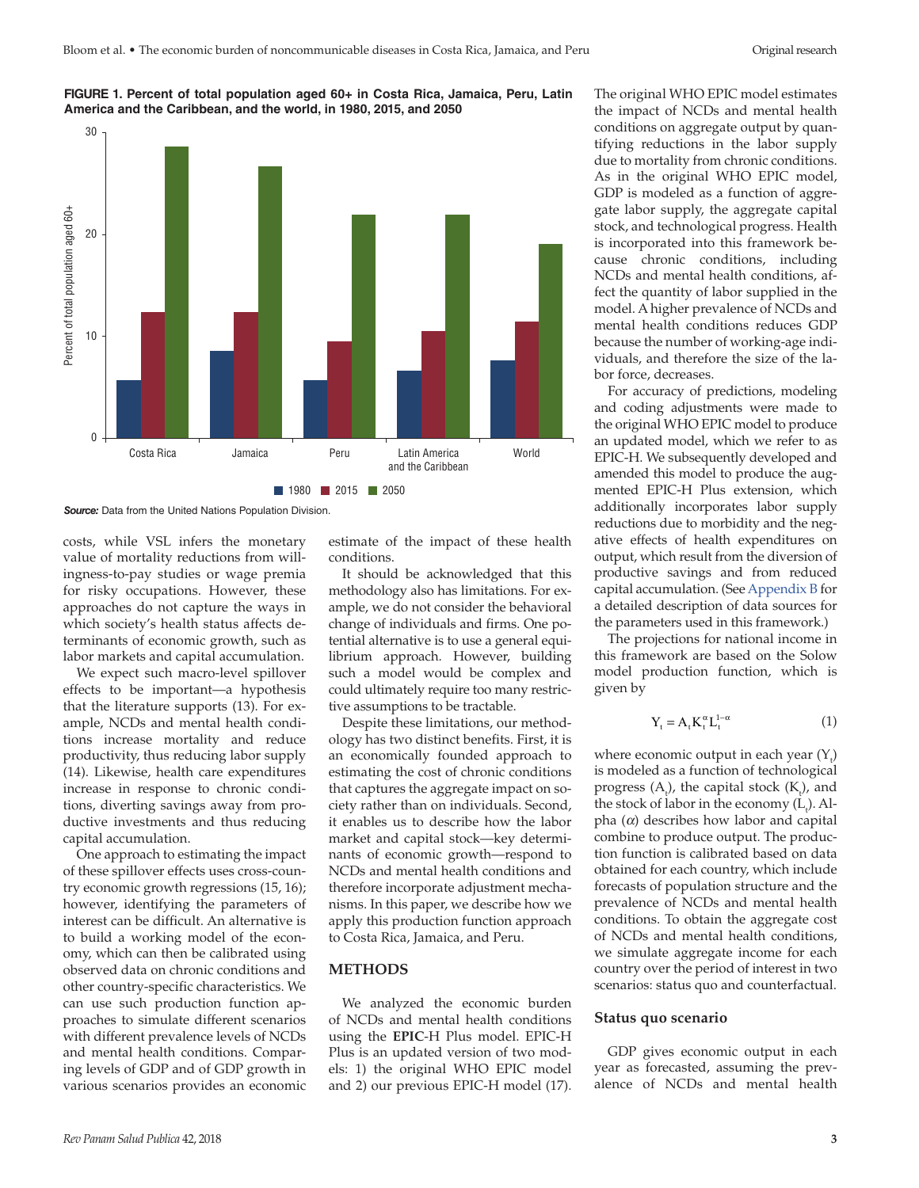### **FIGURE 1. Percent of total population aged 60+ in Costa Rica, Jamaica, Peru, Latin America and the Caribbean, and the world, in 1980, 2015, and 2050**



*Source:* Data from the United Nations Population Division.

costs, while VSL infers the monetary value of mortality reductions from willingness-to-pay studies or wage premia for risky occupations. However, these approaches do not capture the ways in which society's health status affects determinants of economic growth, such as labor markets and capital accumulation.

We expect such macro-level spillover effects to be important—a hypothesis that the literature supports (13). For example, NCDs and mental health conditions increase mortality and reduce productivity, thus reducing labor supply (14). Likewise, health care expenditures increase in response to chronic conditions, diverting savings away from productive investments and thus reducing capital accumulation.

One approach to estimating the impact of these spillover effects uses cross-country economic growth regressions (15, 16); however, identifying the parameters of interest can be difficult. An alternative is to build a working model of the economy, which can then be calibrated using observed data on chronic conditions and other country-specific characteristics. We can use such production function approaches to simulate different scenarios with different prevalence levels of NCDs and mental health conditions. Comparing levels of GDP and of GDP growth in various scenarios provides an economic

estimate of the impact of these health conditions.

It should be acknowledged that this methodology also has limitations. For example, we do not consider the behavioral change of individuals and firms. One potential alternative is to use a general equilibrium approach. However, building such a model would be complex and could ultimately require too many restrictive assumptions to be tractable.

Despite these limitations, our methodology has two distinct benefits. First, it is an economically founded approach to estimating the cost of chronic conditions that captures the aggregate impact on society rather than on individuals. Second, it enables us to describe how the labor market and capital stock—key determinants of economic growth—respond to NCDs and mental health conditions and therefore incorporate adjustment mechanisms. In this paper, we describe how we apply this production function approach to Costa Rica, Jamaica, and Peru.

#### **METHODS**

We analyzed the economic burden of NCDs and mental health conditions using the **EPIC**-H Plus model. EPIC-H Plus is an updated version of two models: 1) the original WHO EPIC model and 2) our previous EPIC-H model (17).

The original WHO EPIC model estimates the impact of NCDs and mental health conditions on aggregate output by quantifying reductions in the labor supply due to mortality from chronic conditions. As in the original WHO EPIC model, GDP is modeled as a function of aggregate labor supply, the aggregate capital stock, and technological progress. Health is incorporated into this framework because chronic conditions, including NCDs and mental health conditions, affect the quantity of labor supplied in the model. A higher prevalence of NCDs and mental health conditions reduces GDP because the number of working-age individuals, and therefore the size of the labor force, decreases.

For accuracy of predictions, modeling and coding adjustments were made to the original WHO EPIC model to produce an updated model, which we refer to as EPIC-H. We subsequently developed and amended this model to produce the augmented EPIC-H Plus extension, which additionally incorporates labor supply reductions due to morbidity and the negative effects of health expenditures on output, which result from the diversion of productive savings and from reduced capital accumulation. (See [Appendix B](http://www.paho.org/journal/index.php?option=com_docman&view=download&slug=18-bloom-17-163-appendixa-d&Itemid=) for a detailed description of data sources for the parameters used in this framework.)

The projections for national income in this framework are based on the Solow model production function, which is given by

$$
Y_t = A_t K_t^{\alpha} L_t^{1-\alpha} \tag{1}
$$

where economic output in each year  $(Y_t)$ is modeled as a function of technological progress  $(A_t)$ , the capital stock  $(K_t)$ , and the stock of labor in the economy  $(L_i)$ . Alpha  $(\alpha)$  describes how labor and capital combine to produce output. The production function is calibrated based on data obtained for each country, which include forecasts of population structure and the prevalence of NCDs and mental health conditions. To obtain the aggregate cost of NCDs and mental health conditions, we simulate aggregate income for each country over the period of interest in two scenarios: status quo and counterfactual.

#### **Status quo scenario**

GDP gives economic output in each year as forecasted, assuming the prevalence of NCDs and mental health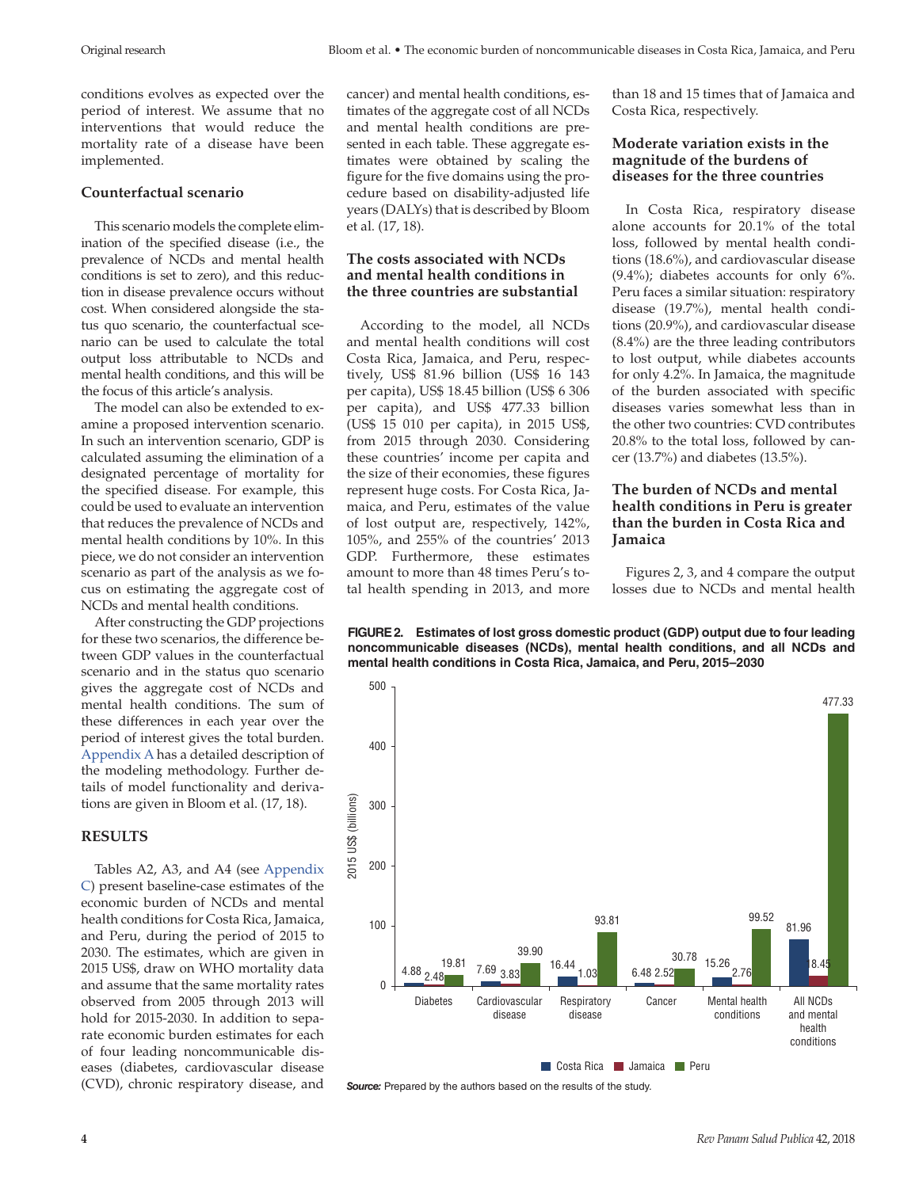conditions evolves as expected over the period of interest. We assume that no interventions that would reduce the mortality rate of a disease have been implemented.

#### **Counterfactual scenario**

This scenario models the complete elimination of the specified disease (i.e., the prevalence of NCDs and mental health conditions is set to zero), and this reduction in disease prevalence occurs without cost. When considered alongside the status quo scenario, the counterfactual scenario can be used to calculate the total output loss attributable to NCDs and mental health conditions, and this will be the focus of this article's analysis.

The model can also be extended to examine a proposed intervention scenario. In such an intervention scenario, GDP is calculated assuming the elimination of a designated percentage of mortality for the specified disease. For example, this could be used to evaluate an intervention that reduces the prevalence of NCDs and mental health conditions by 10%. In this piece, we do not consider an intervention scenario as part of the analysis as we focus on estimating the aggregate cost of NCDs and mental health conditions.

After constructing the GDP projections for these two scenarios, the difference between GDP values in the counterfactual scenario and in the status quo scenario gives the aggregate cost of NCDs and mental health conditions. The sum of these differences in each year over the period of interest gives the total burden. [Appendix A](http://www.paho.org/journal/index.php?option=com_docman&view=download&slug=18-bloom-17-163-appendixa-d&Itemid=) has a detailed description of the modeling methodology. Further details of model functionality and derivations are given in Bloom et al. (17, 18).

#### **RESULTS**

Tables A2, A3, and A4 (see [Appendix](http://www.paho.org/journal/index.php?option=com_docman&view=download&slug=18-bloom-17-163-appendixa-d&Itemid=) [C](http://www.paho.org/journal/index.php?option=com_docman&view=download&slug=18-bloom-17-163-appendixa-d&Itemid=)) present baseline-case estimates of the economic burden of NCDs and mental health conditions for Costa Rica, Jamaica, and Peru, during the period of 2015 to 2030. The estimates, which are given in 2015 US\$, draw on WHO mortality data and assume that the same mortality rates observed from 2005 through 2013 will hold for 2015-2030. In addition to separate economic burden estimates for each of four leading noncommunicable diseases (diabetes, cardiovascular disease (CVD), chronic respiratory disease, and

cancer) and mental health conditions, estimates of the aggregate cost of all NCDs and mental health conditions are presented in each table. These aggregate estimates were obtained by scaling the figure for the five domains using the procedure based on disability-adjusted life years (DALYs) that is described by Bloom et al. (17, 18).

# **The costs associated with NCDs and mental health conditions in the three countries are substantial**

According to the model, all NCDs and mental health conditions will cost Costa Rica, Jamaica, and Peru, respectively, US\$ 81.96 billion (US\$ 16 143 per capita), US\$ 18.45 billion (US\$ 6 306 per capita), and US\$ 477.33 billion (US\$ 15 010 per capita), in 2015 US\$, from 2015 through 2030. Considering these countries' income per capita and the size of their economies, these figures represent huge costs. For Costa Rica, Jamaica, and Peru, estimates of the value of lost output are, respectively, 142%, 105%, and 255% of the countries' 2013 GDP. Furthermore, these estimates amount to more than 48 times Peru's total health spending in 2013, and more than 18 and 15 times that of Jamaica and Costa Rica, respectively.

### **Moderate variation exists in the magnitude of the burdens of diseases for the three countries**

In Costa Rica, respiratory disease alone accounts for 20.1% of the total loss, followed by mental health conditions (18.6%), and cardiovascular disease  $(9.4\%)$ ; diabetes accounts for only 6%. Peru faces a similar situation: respiratory disease (19.7%), mental health conditions (20.9%), and cardiovascular disease (8.4%) are the three leading contributors to lost output, while diabetes accounts for only 4.2%. In Jamaica, the magnitude of the burden associated with specific diseases varies somewhat less than in the other two countries: CVD contributes 20.8% to the total loss, followed by cancer (13.7%) and diabetes (13.5%).

# **The burden of NCDs and mental health conditions in Peru is greater than the burden in Costa Rica and Jamaica**

Figures 2, 3, and 4 compare the output losses due to NCDs and mental health

**FIGURE 2. Estimates of lost gross domestic product (GDP) output due to four leading noncommunicable diseases (NCDs), mental health conditions, and all NCDs and mental health conditions in Costa Rica, Jamaica, and Peru, 2015–2030**



*Source:* Prepared by the authors based on the results of the study.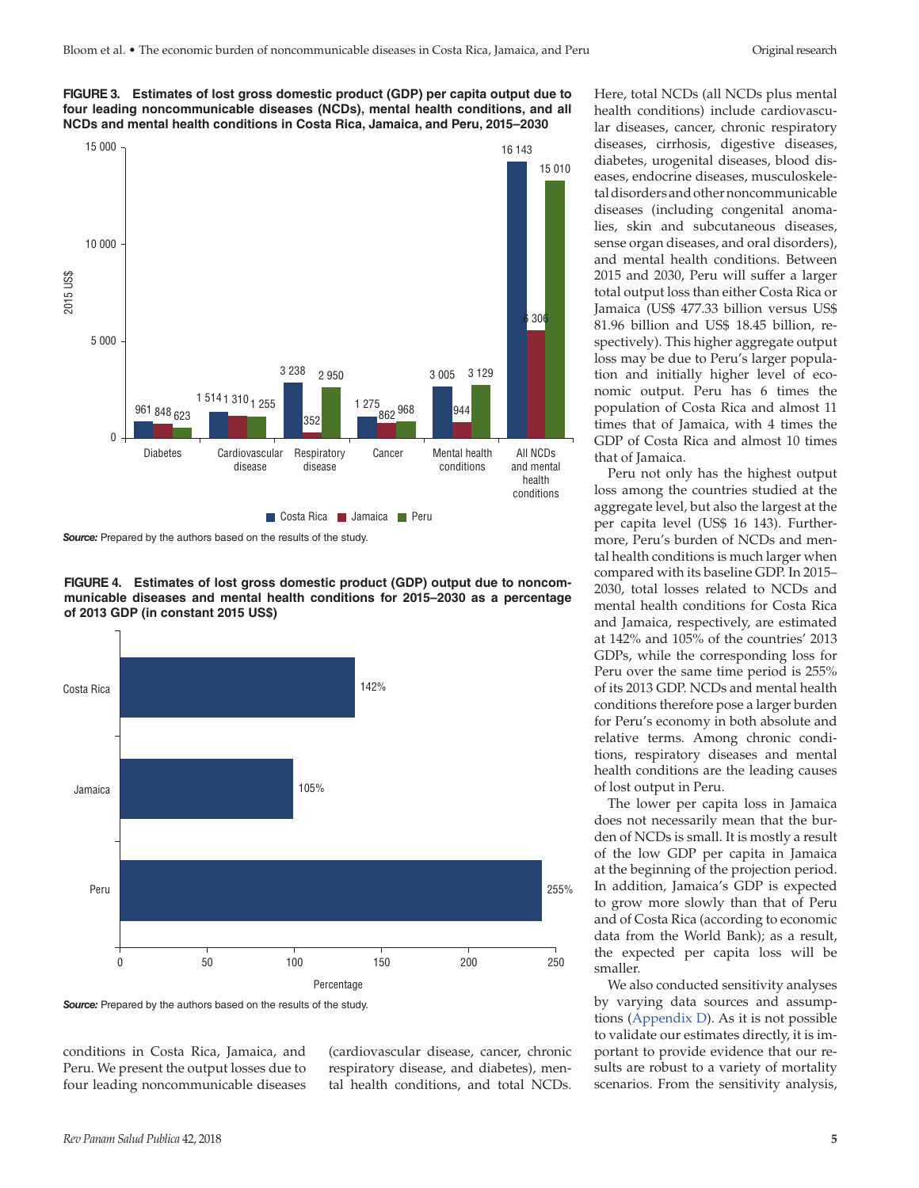**FIGURE 3. Estimates of lost gross domestic product (GDP) per capita output due to four leading noncommunicable diseases (NCDs), mental health conditions, and all NCDs and mental health conditions in Costa Rica, Jamaica, and Peru, 2015–2030**



*Source:* Prepared by the authors based on the results of the study.

**FIGURE 4. Estimates of lost gross domestic product (GDP) output due to noncommunicable diseases and mental health conditions for 2015–2030 as a percentage of 2013 GDP (in constant 2015 US\$)**



*Source:* Prepared by the authors based on the results of the study.

conditions in Costa Rica, Jamaica, and Peru. We present the output losses due to four leading noncommunicable diseases (cardiovascular disease, cancer, chronic respiratory disease, and diabetes), mental health conditions, and total NCDs.

Here, total NCDs (all NCDs plus mental health conditions) include cardiovascular diseases, cancer, chronic respiratory diseases, cirrhosis, digestive diseases, diabetes, urogenital diseases, blood diseases, endocrine diseases, musculoskeletal disorders and other noncommunicable diseases (including congenital anomalies, skin and subcutaneous diseases, sense organ diseases, and oral disorders), and mental health conditions. Between 2015 and 2030, Peru will suffer a larger total output loss than either Costa Rica or Jamaica (US\$ 477.33 billion versus US\$ 81.96 billion and US\$ 18.45 billion, respectively). This higher aggregate output loss may be due to Peru's larger population and initially higher level of economic output. Peru has 6 times the population of Costa Rica and almost 11 times that of Jamaica, with 4 times the GDP of Costa Rica and almost 10 times that of Jamaica.

Peru not only has the highest output loss among the countries studied at the aggregate level, but also the largest at the per capita level (US\$ 16 143). Furthermore, Peru's burden of NCDs and mental health conditions is much larger when compared with its baseline GDP. In 2015– 2030, total losses related to NCDs and mental health conditions for Costa Rica and Jamaica, respectively, are estimated at 142% and 105% of the countries' 2013 GDPs, while the corresponding loss for Peru over the same time period is 255% of its 2013 GDP. NCDs and mental health conditions therefore pose a larger burden for Peru's economy in both absolute and relative terms. Among chronic conditions, respiratory diseases and mental health conditions are the leading causes of lost output in Peru.

The lower per capita loss in Jamaica does not necessarily mean that the burden of NCDs is small. It is mostly a result of the low GDP per capita in Jamaica at the beginning of the projection period. In addition, Jamaica's GDP is expected to grow more slowly than that of Peru and of Costa Rica (according to economic data from the World Bank); as a result, the expected per capita loss will be smaller.

We also conducted sensitivity analyses by varying data sources and assumptions [\(Appendix D](http://www.paho.org/journal/index.php?option=com_docman&view=download&slug=18-bloom-17-163-appendixa-d&Itemid=)). As it is not possible to validate our estimates directly, it is important to provide evidence that our results are robust to a variety of mortality scenarios. From the sensitivity analysis,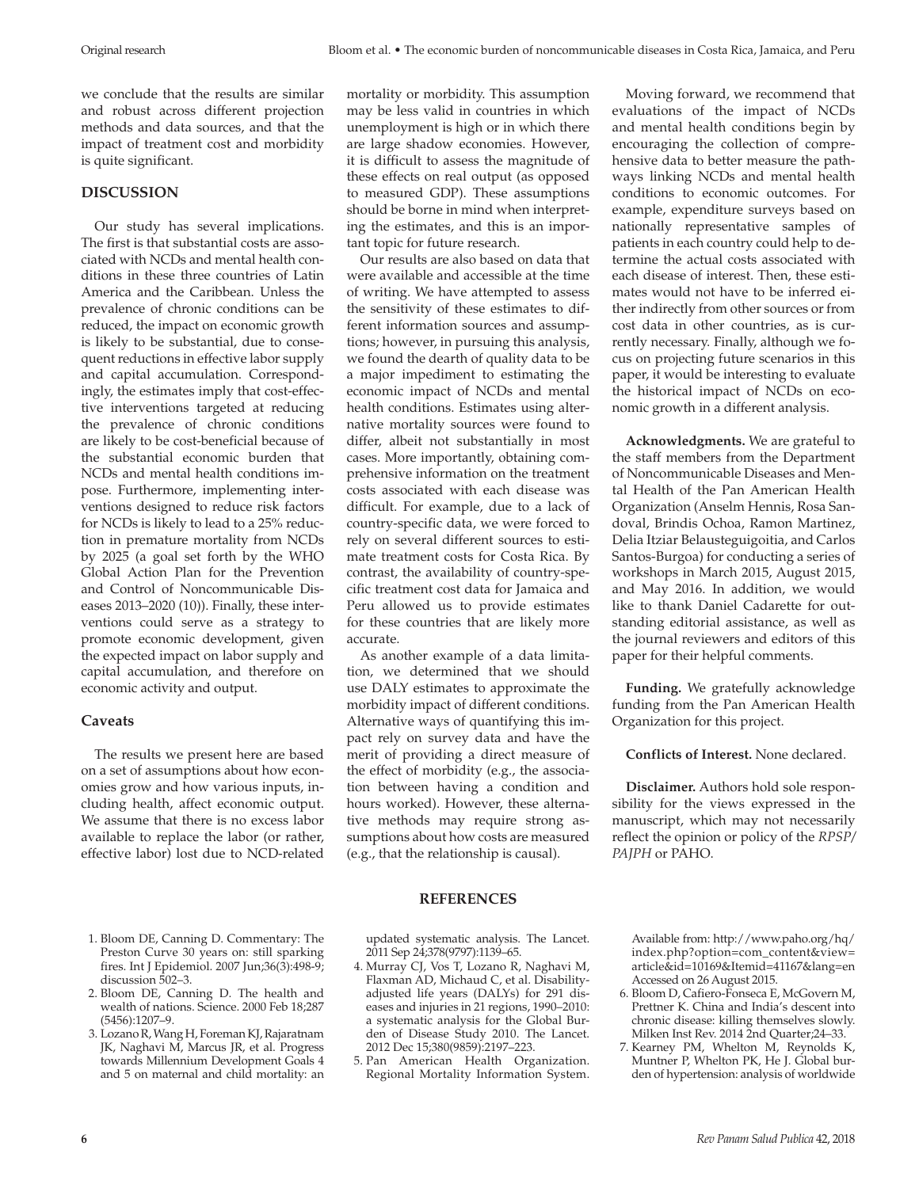we conclude that the results are similar and robust across different projection methods and data sources, and that the impact of treatment cost and morbidity is quite significant.

### **DISCUSSION**

Our study has several implications. The first is that substantial costs are associated with NCDs and mental health conditions in these three countries of Latin America and the Caribbean. Unless the prevalence of chronic conditions can be reduced, the impact on economic growth is likely to be substantial, due to consequent reductions in effective labor supply and capital accumulation. Correspondingly, the estimates imply that cost-effective interventions targeted at reducing the prevalence of chronic conditions are likely to be cost-beneficial because of the substantial economic burden that NCDs and mental health conditions impose. Furthermore, implementing interventions designed to reduce risk factors for NCDs is likely to lead to a 25% reduction in premature mortality from NCDs by 2025 (a goal set forth by the WHO Global Action Plan for the Prevention and Control of Noncommunicable Diseases 2013–2020 (10)). Finally, these interventions could serve as a strategy to promote economic development, given the expected impact on labor supply and capital accumulation, and therefore on economic activity and output.

# **Caveats**

The results we present here are based on a set of assumptions about how economies grow and how various inputs, including health, affect economic output. We assume that there is no excess labor available to replace the labor (or rather, effective labor) lost due to NCD-related

- 1. Bloom DE, Canning D. Commentary: The Preston Curve 30 years on: still sparking fires. Int J Epidemiol. 2007 Jun;36(3):498-9; discussion 502–3.
- 2. Bloom DE, Canning D. The health and wealth of nations. Science. 2000 Feb 18;287 (5456):1207–9.
- 3. Lozano R, Wang H, Foreman KJ, Rajaratnam JK, Naghavi M, Marcus JR, et al. Progress towards Millennium Development Goals 4 and 5 on maternal and child mortality: an

mortality or morbidity. This assumption may be less valid in countries in which unemployment is high or in which there are large shadow economies. However, it is difficult to assess the magnitude of these effects on real output (as opposed to measured GDP). These assumptions should be borne in mind when interpreting the estimates, and this is an important topic for future research.

Our results are also based on data that were available and accessible at the time of writing. We have attempted to assess the sensitivity of these estimates to different information sources and assumptions; however, in pursuing this analysis, we found the dearth of quality data to be a major impediment to estimating the economic impact of NCDs and mental health conditions. Estimates using alternative mortality sources were found to differ, albeit not substantially in most cases. More importantly, obtaining comprehensive information on the treatment costs associated with each disease was difficult. For example, due to a lack of country-specific data, we were forced to rely on several different sources to estimate treatment costs for Costa Rica. By contrast, the availability of country-specific treatment cost data for Jamaica and Peru allowed us to provide estimates for these countries that are likely more accurate.

As another example of a data limitation, we determined that we should use DALY estimates to approximate the morbidity impact of different conditions. Alternative ways of quantifying this impact rely on survey data and have the merit of providing a direct measure of the effect of morbidity (e.g., the association between having a condition and hours worked). However, these alternative methods may require strong assumptions about how costs are measured (e.g., that the relationship is causal).

Moving forward, we recommend that evaluations of the impact of NCDs and mental health conditions begin by encouraging the collection of comprehensive data to better measure the pathways linking NCDs and mental health conditions to economic outcomes. For example, expenditure surveys based on nationally representative samples of patients in each country could help to determine the actual costs associated with each disease of interest. Then, these estimates would not have to be inferred either indirectly from other sources or from cost data in other countries, as is currently necessary. Finally, although we focus on projecting future scenarios in this paper, it would be interesting to evaluate the historical impact of NCDs on economic growth in a different analysis.

**Acknowledgments.** We are grateful to the staff members from the Department of Noncommunicable Diseases and Mental Health of the Pan American Health Organization (Anselm Hennis, Rosa Sandoval, Brindis Ochoa, Ramon Martinez, Delia Itziar Belausteguigoitia, and Carlos Santos-Burgoa) for conducting a series of workshops in March 2015, August 2015, and May 2016. In addition, we would like to thank Daniel Cadarette for outstanding editorial assistance, as well as the journal reviewers and editors of this paper for their helpful comments.

**Funding.** We gratefully acknowledge funding from the Pan American Health Organization for this project.

**Conflicts of Interest.** None declared.

**Disclaimer.** Authors hold sole responsibility for the views expressed in the manuscript, which may not necessarily reflect the opinion or policy of the *RPSP/ PAJPH* or PAHO.

# **REFERENCES**

updated systematic analysis. The Lancet. 2011 Sep 24;378(9797):1139–65.

- 4. Murray CJ, Vos T, Lozano R, Naghavi M, Flaxman AD, Michaud C, et al. Disabilityadjusted life years (DALYs) for 291 diseases and injuries in 21 regions, 1990–2010: a systematic analysis for the Global Burden of Disease Study 2010. The Lancet. 2012 Dec 15;380(9859):2197–223.
- 5. Pan American Health Organization. Regional Mortality Information System.

Available from: [http://www.paho.org/hq/](http://www.paho.org/hq/index.php?option=com_content&view=article&id=10169&Itemid=41167&lang=en) [index.php?option=com\\_content&view=](http://www.paho.org/hq/index.php?option=com_content&view=article&id=10169&Itemid=41167&lang=en) [article&id=10169&Itemid=41167&lang=en](http://www.paho.org/hq/index.php?option=com_content&view=article&id=10169&Itemid=41167&lang=en) Accessed on 26 August 2015.

- 6. Bloom D, Cafiero-Fonseca E, McGovern M, Prettner K. China and India's descent into chronic disease: killing themselves slowly. Milken Inst Rev. 2014 2nd Quarter;24–33.
- 7. Kearney PM, Whelton M, Reynolds K, Muntner P, Whelton PK, He J. Global burden of hypertension: analysis of worldwide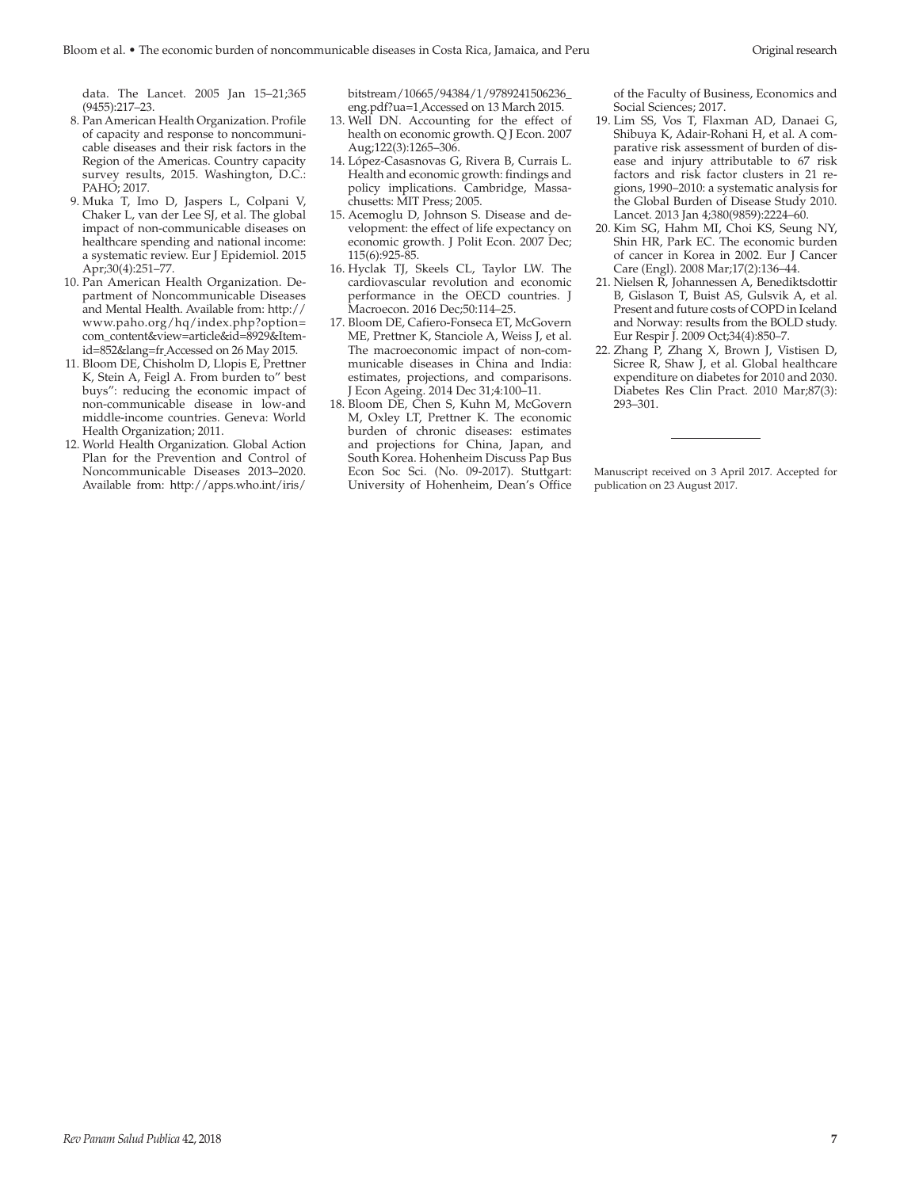data. The Lancet. 2005 Jan 15–21;365 (9455):217–23.

- 8. Pan American Health Organization. Profile of capacity and response to noncommunicable diseases and their risk factors in the Region of the Americas. Country capacity survey results, 2015. Washington, D.C.: PAHO; 2017.
- 9. Muka T, Imo D, Jaspers L, Colpani V, Chaker L, van der Lee SJ, et al. The global impact of non-communicable diseases on healthcare spending and national income: a systematic review. Eur J Epidemiol. 2015 Apr;30(4):251–77.
- 10. Pan American Health Organization. Department of Noncommunicable Diseases and Mental Health. Available from: [http://](http://www.paho.org/hq/index.php?option=com_content&view=article&id=8929&Itemid=852&lang=fr) [www.paho.org/hq/index.php?option=](http://www.paho.org/hq/index.php?option=com_content&view=article&id=8929&Itemid=852&lang=fr) [com\\_content&view=article&id=8929&Item](http://www.paho.org/hq/index.php?option=com_content&view=article&id=8929&Itemid=852&lang=fr)[id=852&lang=fr](http://www.paho.org/hq/index.php?option=com_content&view=article&id=8929&Itemid=852&lang=fr) Accessed on 26 May 2015.
- 11. Bloom DE, Chisholm D, Llopis E, Prettner K, Stein A, Feigl A. From burden to" best buys": reducing the economic impact of non-communicable disease in low-and middle-income countries. Geneva: World Health Organization; 2011.
- 12. World Health Organization. Global Action Plan for the Prevention and Control of Noncommunicable Diseases 2013–2020. Available from: [http://apps.who.int/iris/](http://apps.who.int/iris/bitstream/10665/94384/1/9789241506236_eng.pdf?ua=1)

[bitstream/10665/94384/1/9789241506236\\_](http://apps.who.int/iris/bitstream/10665/94384/1/9789241506236_eng.pdf?ua=1) [eng.pdf?ua=1](http://apps.who.int/iris/bitstream/10665/94384/1/9789241506236_eng.pdf?ua=1) Accessed on 13 March 2015.

- 13. Well DN. Accounting for the effect of health on economic growth. Q J Econ. 2007 Aug;122(3):1265–306.
- 14. López-Casasnovas G, Rivera B, Currais L. Health and economic growth: findings and policy implications. Cambridge, Massachusetts: MIT Press; 2005.
- 15. Acemoglu D, Johnson S. Disease and development: the effect of life expectancy on economic growth. J Polit Econ. 2007 Dec; 115(6):925-85.
- 16. Hyclak TJ, Skeels CL, Taylor LW. The cardiovascular revolution and economic performance in the OECD countries. J Macroecon. 2016 Dec;50:114–25.
- 17. Bloom DE, Cafiero-Fonseca ET, McGovern ME, Prettner K, Stanciole A, Weiss J, et al. The macroeconomic impact of non-communicable diseases in China and India: estimates, projections, and comparisons. J Econ Ageing. 2014 Dec 31;4:100–11.
- 18. Bloom DE, Chen S, Kuhn M, McGovern M, Oxley LT, Prettner K. The economic burden of chronic diseases: estimates and projections for China, Japan, and South Korea. Hohenheim Discuss Pap Bus Econ Soc Sci. (No. 09-2017). Stuttgart: University of Hohenheim, Dean's Office

of the Faculty of Business, Economics and Social Sciences; 2017.

- 19. Lim SS, Vos T, Flaxman AD, Danaei G, Shibuya K, Adair-Rohani H, et al. A comparative risk assessment of burden of disease and injury attributable to 67 risk factors and risk factor clusters in 21 regions, 1990–2010: a systematic analysis for the Global Burden of Disease Study 2010. Lancet. 2013 Jan 4;380(9859):2224–60.
- 20. Kim SG, Hahm MI, Choi KS, Seung NY, Shin HR, Park EC. The economic burden of cancer in Korea in 2002. Eur J Cancer Care (Engl). 2008 Mar;17(2):136–44.
- 21. Nielsen R, Johannessen A, Benediktsdottir B, Gislason T, Buist AS, Gulsvik A, et al. Present and future costs of COPD in Iceland and Norway: results from the BOLD study. Eur Respir J. 2009 Oct;34(4):850–7.
- 22. Zhang P, Zhang X, Brown J, Vistisen D, Sicree R, Shaw J, et al. Global healthcare expenditure on diabetes for 2010 and 2030. Diabetes Res Clin Pract. 2010 Mar;87(3): 293–301.

Manuscript received on 3 April 2017. Accepted for publication on 23 August 2017.